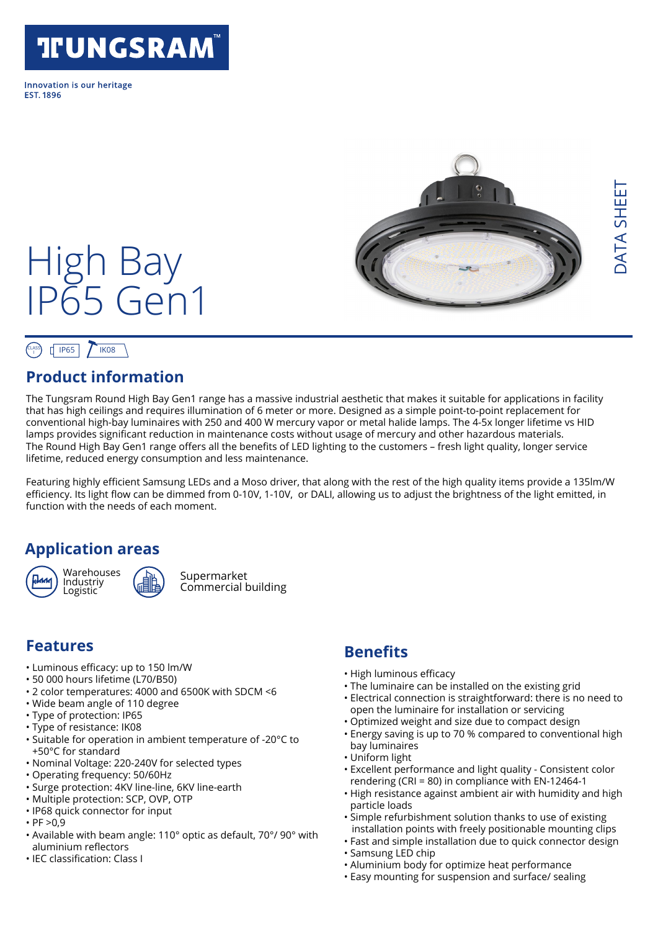# **TFUNGSRAM**

Innovation is our heritage **FST 1896** 



#### CLASS  $T$  IF65  $T$  IK08

#### **Product information**

High Bay

IP65 Gen1

The Tungsram Round High Bay Gen1 range has a massive industrial aesthetic that makes it suitable for applications in facility that has high ceilings and requires illumination of 6 meter or more. Designed as a simple point-to-point replacement for conventional high-bay luminaires with 250 and 400 W mercury vapor or metal halide lamps. The 4-5x longer lifetime vs HID lamps provides significant reduction in maintenance costs without usage of mercury and other hazardous materials. The Round High Bay Gen1 range offers all the benefits of LED lighting to the customers – fresh light quality, longer service lifetime, reduced energy consumption and less maintenance.

Featuring highly efficient Samsung LEDs and a Moso driver, that along with the rest of the high quality items provide a 135lm/W efficiency. Its light flow can be dimmed from 0-10V, 1-10V, or DALI, allowing us to adjust the brightness of the light emitted, in function with the needs of each moment.

#### **Application areas**



**Warehouses** Industriy Logistic



Supermarket Commercial building

#### **Features**

- Luminous efficacy: up to 150 lm/W
- 50 000 hours lifetime (L70/B50)
- 2 color temperatures: 4000 and 6500K with SDCM <6
- Wide beam angle of 110 degree
- Type of protection: IP65
- Type of resistance: IK08
- Suitable for operation in ambient temperature of -20°C to +50°C for standard
- Nominal Voltage: 220-240V for selected types
- Operating frequency: 50/60Hz
- Surge protection: 4KV line-line, 6KV line-earth
- Multiple protection: SCP, OVP, OTP
- IP68 quick connector for input
- $·$  PF  $>0.9$
- Available with beam angle: 110° optic as default, 70°/ 90° with aluminium reflectors
- IEC classification: Class I

#### **Benefits**

- High luminous efficacy
- The luminaire can be installed on the existing grid
- Electrical connection is straightforward: there is no need to open the luminaire for installation or servicing
- Optimized weight and size due to compact design
- Energy saving is up to 70 % compared to conventional high bay luminaires
	- Uniform light
	- Excellent performance and light quality Consistent color rendering (CRI = 80) in compliance with EN-12464-1
	- High resistance against ambient air with humidity and high particle loads
	- Simple refurbishment solution thanks to use of existing installation points with freely positionable mounting clips
	- Fast and simple installation due to quick connector design
	- Samsung LED chip
	- Aluminium body for optimize heat performance
	- Easy mounting for suspension and surface/ sealing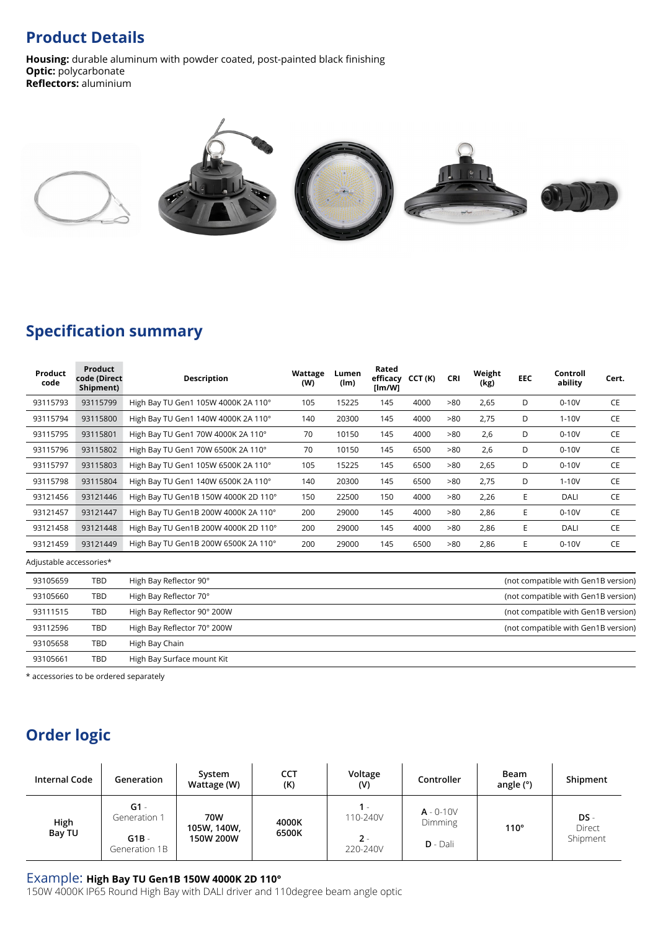#### **Product Details**

**Housing:** durable aluminum with powder coated, post-painted black finishing **Optic:** polycarbonate **Reflectors:** aluminium



#### **Specification summary**

| Product<br>code         | <b>Product</b><br>code (Direct<br>Shipment) | <b>Description</b>                                                 | Wattage<br>(W) | Lumen<br>(lm) | Rated<br>efficacy<br>[Im/W] | CCT(K) | <b>CRI</b> | Weight<br>(kg) | <b>EEC</b> | Controll<br>ability | Cert. |
|-------------------------|---------------------------------------------|--------------------------------------------------------------------|----------------|---------------|-----------------------------|--------|------------|----------------|------------|---------------------|-------|
| 93115793                | 93115799                                    | High Bay TU Gen1 105W 4000K 2A 110°                                | 105            | 15225         | 145                         | 4000   | >80        | 2,65           | D          | $0-10V$             | CE    |
| 93115794                | 93115800                                    | High Bay TU Gen1 140W 4000K 2A 110°                                | 140            | 20300         | 145                         | 4000   | >80        | 2,75           | D          | $1-10V$             | CE    |
| 93115795                | 93115801                                    | High Bay TU Gen1 70W 4000K 2A 110°                                 | 70             | 10150         | 145                         | 4000   | >80        | 2,6            | D          | $0-10V$             | CE    |
| 93115796                | 93115802                                    | High Bay TU Gen1 70W 6500K 2A 110°                                 | 70             | 10150         | 145                         | 6500   | >80        | 2,6            | D          | $0-10V$             | CE    |
| 93115797                | 93115803                                    | High Bay TU Gen1 105W 6500K 2A 110°                                | 105            | 15225         | 145                         | 6500   | >80        | 2,65           | D          | $0-10V$             | CE    |
| 93115798                | 93115804                                    | High Bay TU Gen1 140W 6500K 2A 110°                                | 140            | 20300         | 145                         | 6500   | >80        | 2,75           | D          | $1-10V$             | CE    |
| 93121456                | 93121446                                    | High Bay TU Gen1B 150W 4000K 2D 110°                               | 150            | 22500         | 150                         | 4000   | >80        | 2,26           | Е          | <b>DALI</b>         | CE    |
| 93121457                | 93121447                                    | High Bay TU Gen1B 200W 4000K 2A 110°                               | 200            | 29000         | 145                         | 4000   | >80        | 2,86           | E          | $0-10V$             | CE    |
| 93121458                | 93121448                                    | High Bay TU Gen1B 200W 4000K 2D 110°                               | 200            | 29000         | 145                         | 4000   | >80        | 2,86           | E          | <b>DALI</b>         | CE    |
| 93121459                | 93121449                                    | High Bay TU Gen1B 200W 6500K 2A 110°                               | 200            | 29000         | 145                         | 6500   | >80        | 2,86           | Е          | $0-10V$             | CE    |
| Adjustable accessories* |                                             |                                                                    |                |               |                             |        |            |                |            |                     |       |
| 93105659                | <b>TBD</b>                                  | High Bay Reflector 90°<br>(not compatible with Gen1B version)      |                |               |                             |        |            |                |            |                     |       |
| 93105660                | <b>TBD</b>                                  | High Bay Reflector 70°<br>(not compatible with Gen1B version)      |                |               |                             |        |            |                |            |                     |       |
| 93111515                | <b>TBD</b>                                  | High Bay Reflector 90° 200W<br>(not compatible with Gen1B version) |                |               |                             |        |            |                |            |                     |       |
| 93112596                | <b>TBD</b>                                  | High Bay Reflector 70° 200W<br>(not compatible with Gen1B version) |                |               |                             |        |            |                |            |                     |       |
| 93105658                | <b>TBD</b>                                  | High Bay Chain                                                     |                |               |                             |        |            |                |            |                     |       |
| 93105661                | <b>TBD</b>                                  | High Bay Surface mount Kit                                         |                |               |                             |        |            |                |            |                     |       |
|                         |                                             |                                                                    |                |               |                             |        |            |                |            |                     |       |

\* accessories to be ordered separately

## **Order logic**

| Internal Code  | Generation                                         | System<br>Wattage (W)           | <b>CCT</b><br>(K) | Voltage<br>(V)                         | Controller                                   | Beam<br>angle (°) | Shipment                     |
|----------------|----------------------------------------------------|---------------------------------|-------------------|----------------------------------------|----------------------------------------------|-------------------|------------------------------|
| High<br>Bay TU | $G1 -$<br>Generation 1<br>$G1B -$<br>Generation 1B | 70W<br>105W, 140W,<br>150W 200W | 4000K<br>6500K    | $1 -$<br>110-240V<br>$2 -$<br>220-240V | $A - 0 - 10V$<br><b>Dimming</b><br>$D - Dal$ | $110^{\circ}$     | $DS -$<br>Direct<br>Shipment |

#### Example: **High Bay TU Gen1B 150W 4000K 2D 110°**

150W 4000K IP65 Round High Bay with DALI driver and 110degree beam angle optic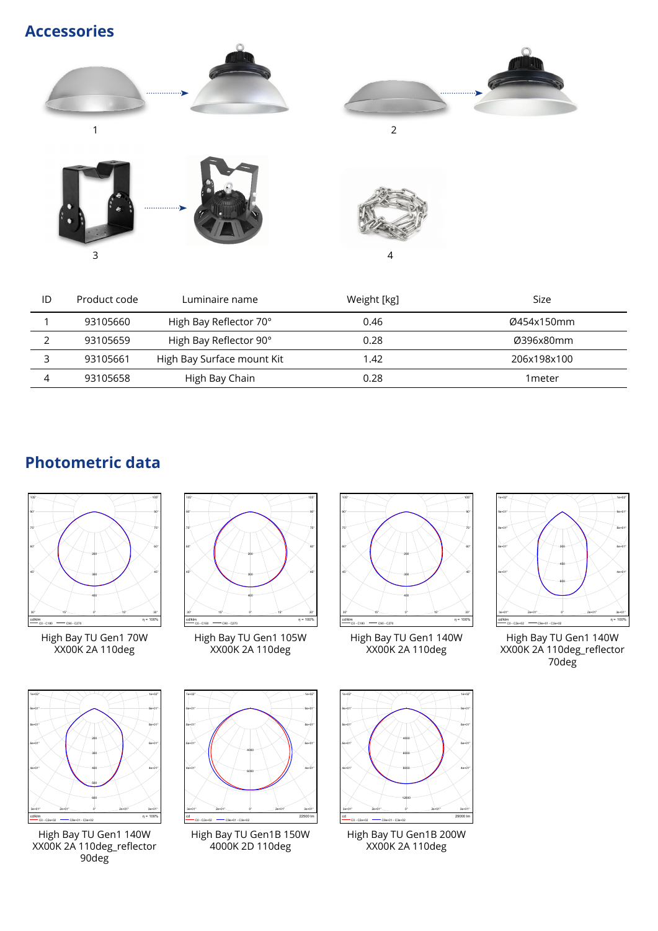**Accessories**









| ID | Product code | Luminaire name             | Weight [kg] | Size        |
|----|--------------|----------------------------|-------------|-------------|
|    | 93105660     | High Bay Reflector 70°     | 0.46        | Ø454x150mm  |
|    | 93105659     | High Bay Reflector 90°     | 0.28        | Ø396x80mm   |
|    | 93105661     | High Bay Surface mount Kit | 1.42        | 206x198x100 |
|    | 93105658     | High Bay Chain             | 0.28        | 1 meter     |

### **Photometric data**



High Bay TU Gen1 70W XX00K 2A 110deg



High Bay TU Gen1 140W XX00K 2A 110deg\_reflector 90deg



High Bay TU Gen1 105W XX00K 2A 110deg



High Bay TU Gen1 140W XX00K 2A 110deg



High Bay TU Gen1 140W XX00K 2A 110deg\_reflector 70deg



High Bay TU Gen1B 150W 4000K 2D 110deg



High Bay TU Gen1B 200W XX00K 2A 110deg